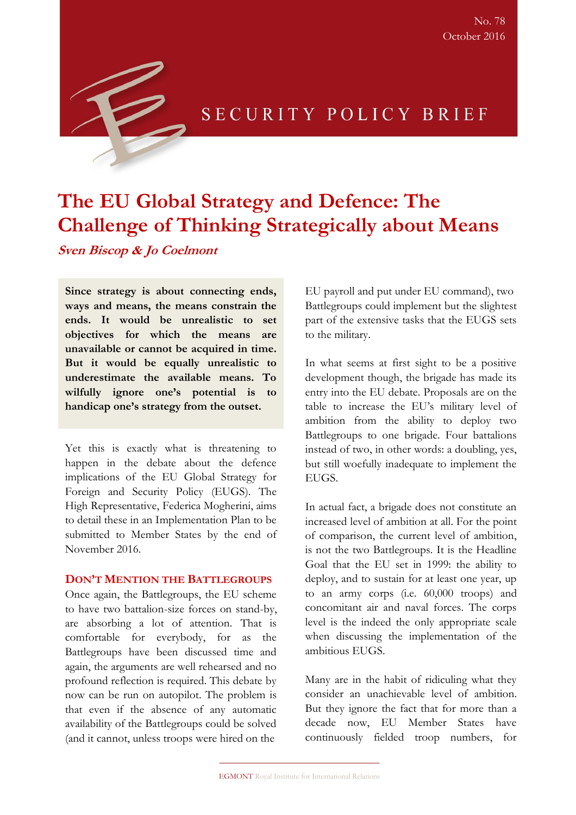

# SECURITY POLICY BRIEF

# **The EU Global Strategy and Defence: The Challenge of Thinking Strategically about Means**

**Sven Biscop & Jo Coelmont**

**Since strategy is about connecting ends, ways and means, the means constrain the ends. It would be unrealistic to set objectives for which the means are unavailable or cannot be acquired in time. But it would be equally unrealistic to underestimate the available means. To wilfully ignore one's potential is to handicap one's strategy from the outset.**

Yet this is exactly what is threatening to happen in the debate about the defence implications of the EU Global Strategy for Foreign and Security Policy (EUGS). The High Representative, Federica Mogherini, aims to detail these in an Implementation Plan to be submitted to Member States by the end of November 2016.

#### **DON'T MENTION THE BATTLEGROUPS**

Once again, the Battlegroups, the EU scheme to have two battalion-size forces on stand-by, are absorbing a lot of attention. That is comfortable for everybody, for as the Battlegroups have been discussed time and again, the arguments are well rehearsed and no profound reflection is required. This debate by now can be run on autopilot. The problem is that even if the absence of any automatic availability of the Battlegroups could be solved (and it cannot, unless troops were hired on the

EU payroll and put under EU command), two Battlegroups could implement but the slightest part of the extensive tasks that the EUGS sets to the military.

In what seems at first sight to be a positive development though, the brigade has made its entry into the EU debate. Proposals are on the table to increase the EU's military level of ambition from the ability to deploy two Battlegroups to one brigade. Four battalions instead of two, in other words: a doubling, yes, but still woefully inadequate to implement the EUGS.

In actual fact, a brigade does not constitute an increased level of ambition at all. For the point of comparison, the current level of ambition, is not the two Battlegroups. It is the Headline Goal that the EU set in 1999: the ability to deploy, and to sustain for at least one year, up to an army corps (i.e. 60,000 troops) and concomitant air and naval forces. The corps level is the indeed the only appropriate scale when discussing the implementation of the ambitious EUGS.

Many are in the habit of ridiculing what they consider an unachievable level of ambition. But they ignore the fact that for more than a decade now, EU Member States have continuously fielded troop numbers, for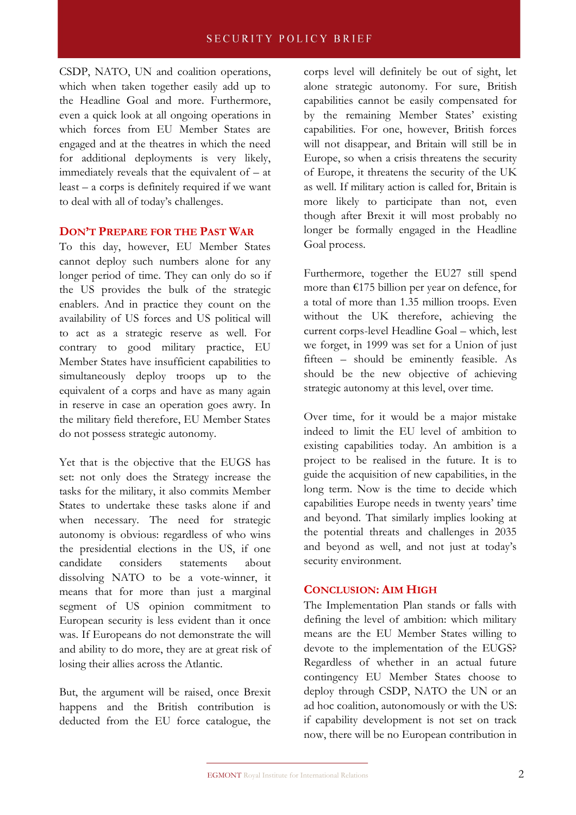CSDP, NATO, UN and coalition operations, which when taken together easily add up to the Headline Goal and more. Furthermore, even a quick look at all ongoing operations in which forces from EU Member States are engaged and at the theatres in which the need for additional deployments is very likely, immediately reveals that the equivalent of – at least – a corps is definitely required if we want to deal with all of today's challenges.

### **DON'T PREPARE FOR THE PAST WAR**

To this day, however, EU Member States cannot deploy such numbers alone for any longer period of time. They can only do so if the US provides the bulk of the strategic enablers. And in practice they count on the availability of US forces and US political will to act as a strategic reserve as well. For contrary to good military practice, EU Member States have insufficient capabilities to simultaneously deploy troops up to the equivalent of a corps and have as many again in reserve in case an operation goes awry. In the military field therefore, EU Member States do not possess strategic autonomy.

Yet that is the objective that the EUGS has set: not only does the Strategy increase the tasks for the military, it also commits Member States to undertake these tasks alone if and when necessary. The need for strategic autonomy is obvious: regardless of who wins the presidential elections in the US, if one candidate considers statements about dissolving NATO to be a vote-winner, it means that for more than just a marginal segment of US opinion commitment to European security is less evident than it once was. If Europeans do not demonstrate the will and ability to do more, they are at great risk of losing their allies across the Atlantic.

But, the argument will be raised, once Brexit happens and the British contribution is deducted from the EU force catalogue, the corps level will definitely be out of sight, let alone strategic autonomy. For sure, British capabilities cannot be easily compensated for by the remaining Member States' existing capabilities. For one, however, British forces will not disappear, and Britain will still be in Europe, so when a crisis threatens the security of Europe, it threatens the security of the UK as well. If military action is called for, Britain is more likely to participate than not, even though after Brexit it will most probably no longer be formally engaged in the Headline Goal process.

Furthermore, together the EU27 still spend more than €175 billion per year on defence, for a total of more than 1.35 million troops. Even without the UK therefore, achieving the current corps-level Headline Goal – which, lest we forget, in 1999 was set for a Union of just fifteen – should be eminently feasible. As should be the new objective of achieving strategic autonomy at this level, over time.

Over time, for it would be a major mistake indeed to limit the EU level of ambition to existing capabilities today. An ambition is a project to be realised in the future. It is to guide the acquisition of new capabilities, in the long term. Now is the time to decide which capabilities Europe needs in twenty years' time and beyond. That similarly implies looking at the potential threats and challenges in 2035 and beyond as well, and not just at today's security environment.

## **CONCLUSION: AIM HIGH**

The Implementation Plan stands or falls with defining the level of ambition: which military means are the EU Member States willing to devote to the implementation of the EUGS? Regardless of whether in an actual future contingency EU Member States choose to deploy through CSDP, NATO the UN or an ad hoc coalition, autonomously or with the US: if capability development is not set on track now, there will be no European contribution in